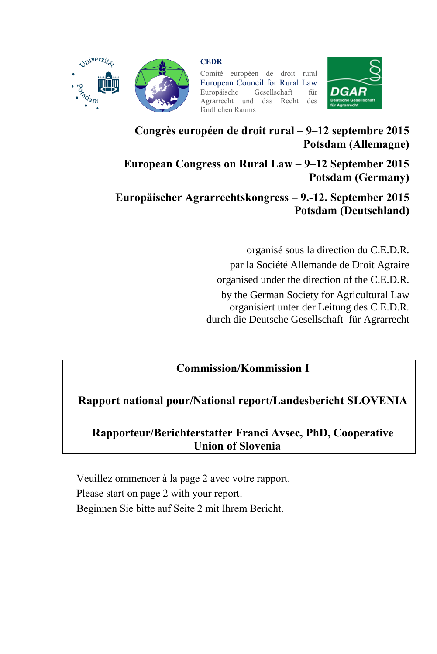

*Spiversitz* 

**CEDR**

Comité européen de droit rural European Council for Rural Law<br>Europäische Gesellschaft für Gesellschaft Agrarrecht und das Recht des ländlichen Raums



#### **Congrès européen de droit rural – 9–12 septembre 2015 Potsdam (Allemagne)**

**European Congress on Rural Law – 9–12 September 2015 Potsdam (Germany)**

**Europäischer Agrarrechtskongress – 9.-12. September 2015 Potsdam (Deutschland)**

> organisé sous la direction du C.E.D.R. par la Société Allemande de Droit Agraire organised under the direction of the C.E.D.R. by the German Society for Agricultural Law organisiert unter der Leitung des C.E.D.R. durch die Deutsche Gesellschaft für Agrarrecht

# **Commission/Kommission I**

**Rapport national pour/National report/Landesbericht SLOVENIA** 

## **Rapporteur/Berichterstatter Franci Avsec, PhD, Cooperative Union of Slovenia**

Veuillez ommencer à la page 2 avec votre rapport. Please start on page 2 with your report. Beginnen Sie bitte auf Seite 2 mit Ihrem Bericht.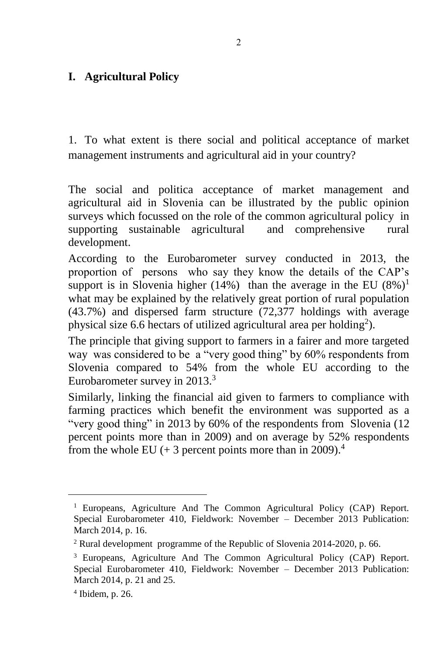#### **I. Agricultural Policy**

1. To what extent is there social and political acceptance of market management instruments and agricultural aid in your country?

The social and politica acceptance of market management and agricultural aid in Slovenia can be illustrated by the public opinion surveys which focussed on the role of the common agricultural policy in supporting sustainable agricultural and comprehensive rural development.

According to the Eurobarometer survey conducted in 2013, the proportion of persons who say they know the details of the CAP's support is in Slovenia higher (14%) than the average in the EU  $(8\%)^1$ what may be explained by the relatively great portion of rural population (43.7%) and dispersed farm structure (72,377 holdings with average physical size 6.6 hectars of utilized agricultural area per holding<sup>2</sup>).

The principle that giving support to farmers in a fairer and more targeted way was considered to be a "very good thing" by 60% respondents from Slovenia compared to 54% from the whole EU according to the Eurobarometer survey in 2013.<sup>3</sup>

Similarly, linking the financial aid given to farmers to compliance with farming practices which benefit the environment was supported as a "very good thing" in 2013 by 60% of the respondents from Slovenia (12 percent points more than in 2009) and on average by 52% respondents from the whole EU  $(+ 3$  percent points more than in 2009).<sup>4</sup>

 $\overline{a}$ 

<sup>&</sup>lt;sup>1</sup> Europeans, Agriculture And The Common Agricultural Policy (CAP) Report. Special Eurobarometer 410, Fieldwork: November – December 2013 Publication: March 2014, p. 16.

<sup>2</sup> Rural development programme of the Republic of Slovenia 2014-2020, p. 66.

<sup>3</sup> Europeans, Agriculture And The Common Agricultural Policy (CAP) Report. Special Eurobarometer 410, Fieldwork: November – December 2013 Publication: March 2014, p. 21 and 25.

<sup>4</sup> Ibidem, p. 26.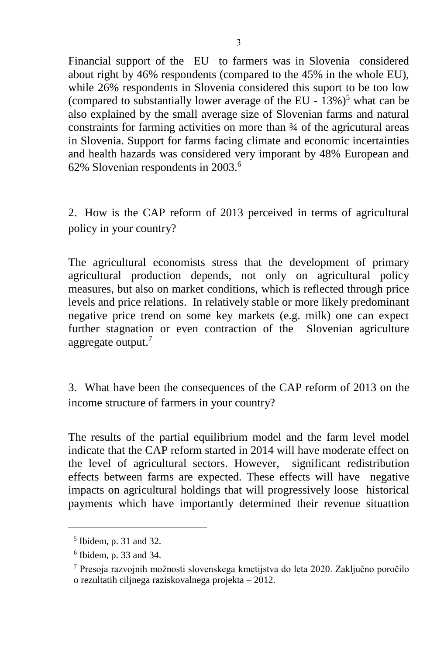Financial support of the EU to farmers was in Slovenia considered about right by 46% respondents (compared to the 45% in the whole EU), while 26% respondents in Slovenia considered this suport to be too low (compared to substantially lower average of the EU -  $13\%$ )<sup>5</sup> what can be also explained by the small average size of Slovenian farms and natural constraints for farming activities on more than ¾ of the agricutural areas in Slovenia. Support for farms facing climate and economic incertainties and health hazards was considered very imporant by 48% European and 62% Slovenian respondents in 2003.<sup>6</sup>

2. How is the CAP reform of 2013 perceived in terms of agricultural policy in your country?

The agricultural economists stress that the development of primary agricultural production depends, not only on agricultural policy measures, but also on market conditions, which is reflected through price levels and price relations. In relatively stable or more likely predominant negative price trend on some key markets (e.g. milk) one can expect further stagnation or even contraction of the Slovenian agriculture aggregate output.<sup>7</sup>

3. What have been the consequences of the CAP reform of 2013 on the income structure of farmers in your country?

The results of the partial equilibrium model and the farm level model indicate that the CAP reform started in 2014 will have moderate effect on the level of agricultural sectors. However, significant redistribution effects between farms are expected. These effects will have negative impacts on agricultural holdings that will progressively loose historical payments which have importantly determined their revenue situattion

<sup>5</sup> Ibidem, p. 31 and 32.

<sup>6</sup> Ibidem, p. 33 and 34.

<sup>7</sup> Presoja razvojnih možnosti slovenskega kmetijstva do leta 2020. Zaključno poročilo o rezultatih ciljnega raziskovalnega projekta – 2012.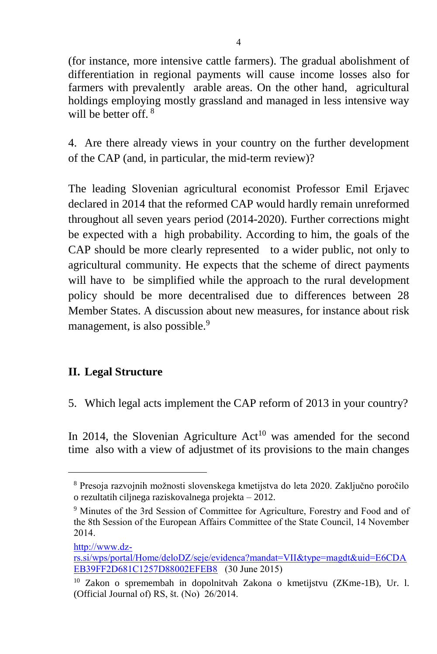(for instance, more intensive cattle farmers). The gradual abolishment of differentiation in regional payments will cause income losses also for farmers with prevalently arable areas. On the other hand, agricultural holdings employing mostly grassland and managed in less intensive way will be better off.  $8$ 

4. Are there already views in your country on the further development of the CAP (and, in particular, the mid-term review)?

The leading Slovenian agricultural economist Professor Emil Erjavec declared in 2014 that the reformed CAP would hardly remain unreformed throughout all seven years period (2014-2020). Further corrections might be expected with a high probability. According to him, the goals of the CAP should be more clearly represented to a wider public, not only to agricultural community. He expects that the scheme of direct payments will have to be simplified while the approach to the rural development policy should be more decentralised due to differences between 28 Member States. A discussion about new measures, for instance about risk management, is also possible.<sup>9</sup>

## **II. Legal Structure**

5. Which legal acts implement the CAP reform of 2013 in your country?

In 2014, the Slovenian Agriculture  $Act^{10}$  was amended for the second time also with a view of adjustmet of its provisions to the main changes

 $\overline{a}$ 

<sup>8</sup> Presoja razvojnih možnosti slovenskega kmetijstva do leta 2020. Zaključno poročilo o rezultatih ciljnega raziskovalnega projekta – 2012.

<sup>9</sup> Minutes of the 3rd Session of Committee for Agriculture, Forestry and Food and of the 8th Session of the European Affairs Committee of the State Council, 14 November 2014.

[http://www.dz-](http://www.dz-rs.si/wps/portal/Home/deloDZ/seje/evidenca?mandat=VII&type=magdt&uid=E6CDAEB39FF2D681C1257D88002EFEB8)

[rs.si/wps/portal/Home/deloDZ/seje/evidenca?mandat=VII&type=magdt&uid=E6CDA](http://www.dz-rs.si/wps/portal/Home/deloDZ/seje/evidenca?mandat=VII&type=magdt&uid=E6CDAEB39FF2D681C1257D88002EFEB8) [EB39FF2D681C1257D88002EFEB8](http://www.dz-rs.si/wps/portal/Home/deloDZ/seje/evidenca?mandat=VII&type=magdt&uid=E6CDAEB39FF2D681C1257D88002EFEB8) (30 June 2015)

<sup>10</sup> Zakon o spremembah in dopolnitvah Zakona o kmetijstvu (ZKme-1B), Ur. l. (Official Journal of) RS, št. (No) 26/2014.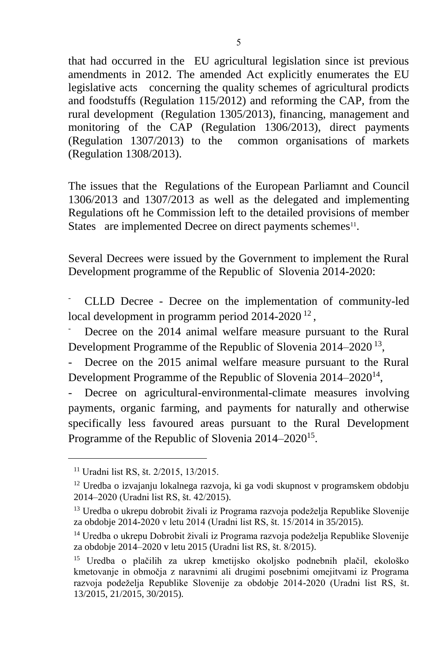that had occurred in the EU agricultural legislation since ist previous amendments in 2012. The amended Act explicitly enumerates the EU legislative acts concerning the quality schemes of agricultural prodicts and foodstuffs (Regulation 115/2012) and reforming the CAP, from the rural development (Regulation 1305/2013), financing, management and monitoring of the CAP (Regulation 1306/2013), direct payments (Regulation 1307/2013) to the common organisations of markets (Regulation 1308/2013).

The issues that the Regulations of the European Parliamnt and Council 1306/2013 and 1307/2013 as well as the delegated and implementing Regulations oft he Commission left to the detailed provisions of member States are implemented Decree on direct payments schemes<sup>11</sup>.

Several Decrees were issued by the Government to implement the Rural Development programme of the Republic of Slovenia 2014-2020:

- CLLD Decree - Decree on the implementation of community-led local development in programm period  $2014-2020^{12}$ ,

Decree on the 2014 animal welfare measure pursuant to the Rural Development Programme of the Republic of Slovenia 2014–2020<sup>13</sup>,

Decree on the 2015 animal welfare measure pursuant to the Rural Development Programme of the Republic of Slovenia 2014–2020<sup>14</sup>,

Decree on agricultural-environmental-climate measures involving payments, organic farming, and payments for naturally and otherwise specifically less favoured areas pursuant to the Rural Development Programme of the Republic of Slovenia 2014–2020<sup>15</sup>.

 $\overline{a}$ 

<sup>11</sup> Uradni list RS, št. 2/2015, 13/2015.

<sup>12</sup> Uredba o izvajanju lokalnega razvoja, ki ga vodi skupnost v programskem obdobju 2014–2020 (Uradni list RS, št. 42/2015).

<sup>13</sup> Uredba o ukrepu dobrobit živali iz Programa razvoja podeželja Republike Slovenije za obdobje 2014-2020 v letu 2014 (Uradni list RS, št. 15/2014 in 35/2015).

<sup>&</sup>lt;sup>14</sup> Uredba o ukrepu Dobrobit živali iz Programa razvoja podeželja Republike Slovenije za obdobje 2014–2020 v letu 2015 (Uradni list RS, št. 8/2015).

<sup>15</sup> Uredba o plačilih za ukrep kmetijsko okoljsko podnebnih plačil, ekološko kmetovanje in območja z naravnimi ali drugimi posebnimi omejitvami iz Programa razvoja podeželja Republike Slovenije za obdobje 2014-2020 (Uradni list RS, št. 13/2015, 21/2015, 30/2015).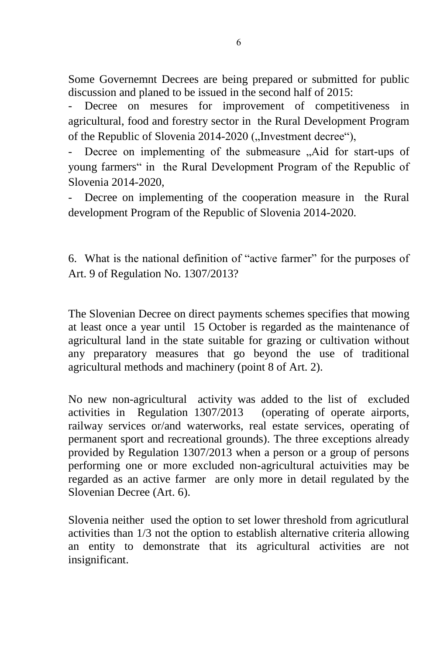Some Governemnt Decrees are being prepared or submitted for public discussion and planed to be issued in the second half of 2015:

Decree on mesures for improvement of competitiveness in agricultural, food and forestry sector in the Rural Development Program of the Republic of Slovenia 2014-2020 ("Investment decree"),

Decree on implementing of the submeasure "Aid for start-ups of young farmers" in the Rural Development Program of the Republic of Slovenia 2014-2020,

Decree on implementing of the cooperation measure in the Rural development Program of the Republic of Slovenia 2014-2020.

6. What is the national definition of "active farmer" for the purposes of Art. 9 of Regulation No. 1307/2013?

The Slovenian Decree on direct payments schemes specifies that mowing at least once a year until 15 October is regarded as the maintenance of agricultural land in the state suitable for grazing or cultivation without any preparatory measures that go beyond the use of traditional agricultural methods and machinery (point 8 of Art. 2).

No new non-agricultural activity was added to the list of excluded activities in Regulation 1307/2013 (operating of operate airports, activities in Regulation  $1307/2013$ railway services or/and waterworks, real estate services, operating of permanent sport and recreational grounds). The three exceptions already provided by Regulation 1307/2013 when a person or a group of persons performing one or more excluded non-agricultural actuivities may be regarded as an active farmer are only more in detail regulated by the Slovenian Decree (Art. 6).

Slovenia neither used the option to set lower threshold from agricutlural activities than 1/3 not the option to establish alternative criteria allowing an entity to demonstrate that its agricultural activities are not insignificant.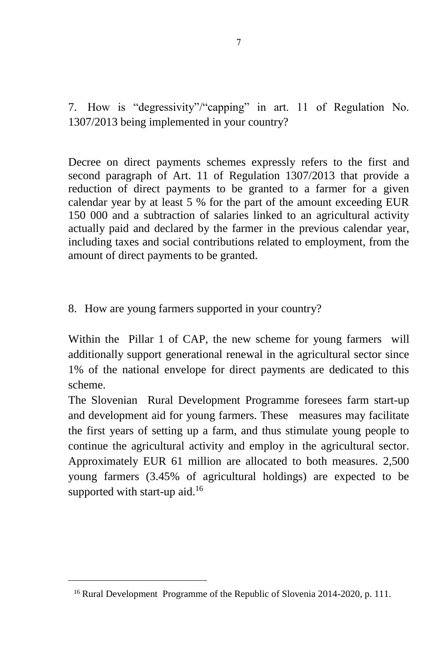7. How is "degressivity"/"capping" in art. 11 of Regulation No. 1307/2013 being implemented in your country?

Decree on direct payments schemes expressly refers to the first and second paragraph of Art. 11 of Regulation 1307/2013 that provide a reduction of direct payments to be granted to a farmer for a given calendar year by at least 5 % for the part of the amount exceeding EUR 150 000 and a subtraction of salaries linked to an agricultural activity actually paid and declared by the farmer in the previous calendar year, including taxes and social contributions related to employment, from the amount of direct payments to be granted.

8. How are young farmers supported in your country?

Within the Pillar 1 of CAP, the new scheme for young farmers will additionally support generational renewal in the agricultural sector since 1% of the national envelope for direct payments are dedicated to this scheme.

The Slovenian Rural Development Programme foresees farm start-up and development aid for young farmers. These measures may facilitate the first years of setting up a farm, and thus stimulate young people to continue the agricultural activity and employ in the agricultural sector. Approximately EUR 61 million are allocated to both measures. 2,500 young farmers (3.45% of agricultural holdings) are expected to be supported with start-up aid.<sup>16</sup>

<sup>&</sup>lt;sup>16</sup> Rural Development Programme of the Republic of Slovenia 2014-2020, p. 111.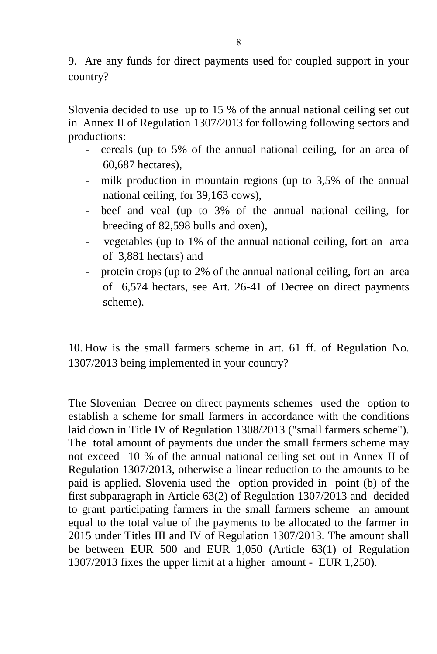9. Are any funds for direct payments used for coupled support in your country?

Slovenia decided to use up to 15 % of the annual national ceiling set out in Annex II of Regulation 1307/2013 for following following sectors and productions:

- cereals (up to 5% of the annual national ceiling, for an area of 60,687 hectares),
- milk production in mountain regions (up to 3,5% of the annual national ceiling, for 39,163 cows),
- beef and veal (up to 3% of the annual national ceiling, for breeding of 82,598 bulls and oxen),
- vegetables (up to 1% of the annual national ceiling, fort an area of 3,881 hectars) and
- protein crops (up to 2% of the annual national ceiling, fort an area of 6,574 hectars, see Art. 26-41 of Decree on direct payments scheme).

10. How is the small farmers scheme in art. 61 ff. of Regulation No. 1307/2013 being implemented in your country?

The Slovenian Decree on direct payments schemes used the option to establish a scheme for small farmers in accordance with the conditions laid down in Title IV of Regulation 1308/2013 ("small farmers scheme"). The total amount of payments due under the small farmers scheme may not exceed 10 % of the annual national ceiling set out in Annex II of Regulation 1307/2013, otherwise a linear reduction to the amounts to be paid is applied. Slovenia used the option provided in point (b) of the first subparagraph in Article 63(2) of Regulation 1307/2013 and decided to grant participating farmers in the small farmers scheme an amount equal to the total value of the payments to be allocated to the farmer in 2015 under Titles III and IV of Regulation 1307/2013. The amount shall be between EUR 500 and EUR 1,050 (Article 63(1) of Regulation 1307/2013 fixes the upper limit at a higher amount - EUR 1,250).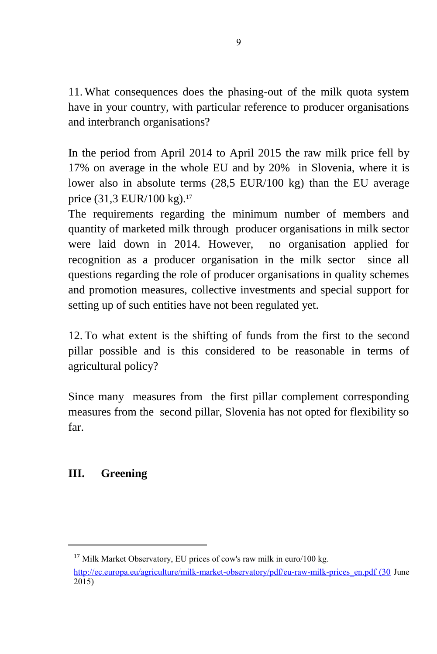11. What consequences does the phasing-out of the milk quota system have in your country, with particular reference to producer organisations and interbranch organisations?

In the period from April 2014 to April 2015 the raw milk price fell by 17% on average in the whole EU and by 20% in Slovenia, where it is lower also in absolute terms (28,5 EUR/100 kg) than the EU average price (31,3 EUR/100 kg). 17

The requirements regarding the minimum number of members and quantity of marketed milk through producer organisations in milk sector were laid down in 2014. However, no organisation applied for recognition as a producer organisation in the milk sector since all questions regarding the role of producer organisations in quality schemes and promotion measures, collective investments and special support for setting up of such entities have not been regulated yet.

12. To what extent is the shifting of funds from the first to the second pillar possible and is this considered to be reasonable in terms of agricultural policy?

Since many measures from the first pillar complement corresponding measures from the second pillar, Slovenia has not opted for flexibility so far.

## **III. Greening**

 $17$  Milk Market Observatory, EU prices of cow's raw milk in euro/100 kg.

[http://ec.europa.eu/agriculture/milk-market-observatory/pdf/eu-raw-milk-prices\\_en.pdf \(30](http://ec.europa.eu/agriculture/milk-market-observatory/pdf/eu-raw-milk-prices_en.pdf%20(30) June 2015)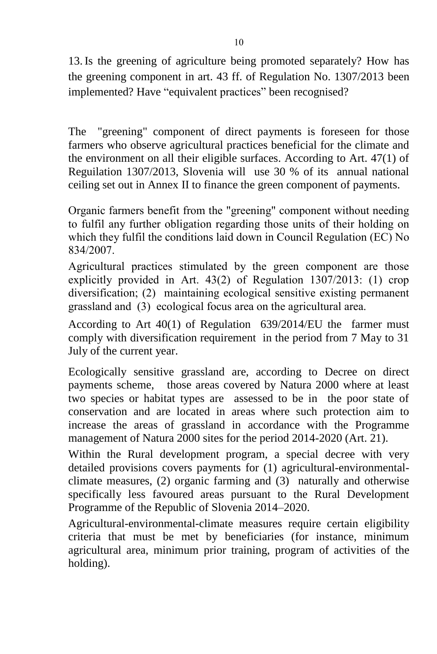13. Is the greening of agriculture being promoted separately? How has the greening component in art. 43 ff. of Regulation No. 1307/2013 been implemented? Have "equivalent practices" been recognised?

The "greening" component of direct payments is foreseen for those farmers who observe agricultural practices beneficial for the climate and the environment on all their eligible surfaces. According to Art. 47(1) of Reguilation 1307/2013, Slovenia will use 30 % of its annual national ceiling set out in Annex II to finance the green component of payments.

Organic farmers benefit from the "greening" component without needing to fulfil any further obligation regarding those units of their holding on which they fulfil the conditions laid down in Council Regulation (EC) No 834/2007.

Agricultural practices stimulated by the green component are those explicitly provided in Art. 43(2) of Regulation 1307/2013: (1) crop diversification; (2) maintaining ecological sensitive existing permanent grassland and (3) ecological focus area on the agricultural area.

According to Art 40(1) of Regulation 639/2014/EU the farmer must comply with diversification requirement in the period from 7 May to 31 July of the current year.

Ecologically sensitive grassland are, according to Decree on direct payments scheme, those areas covered by Natura 2000 where at least two species or habitat types are assessed to be in the poor state of conservation and are located in areas where such protection aim to increase the areas of grassland in accordance with the Programme management of Natura 2000 sites for the period 2014-2020 (Art. 21).

Within the Rural development program, a special decree with very detailed provisions covers payments for (1) agricultural-environmentalclimate measures, (2) organic farming and (3) naturally and otherwise specifically less favoured areas pursuant to the Rural Development Programme of the Republic of Slovenia 2014–2020.

Agricultural-environmental-climate measures require certain eligibility criteria that must be met by beneficiaries (for instance, minimum agricultural area, minimum prior training, program of activities of the holding).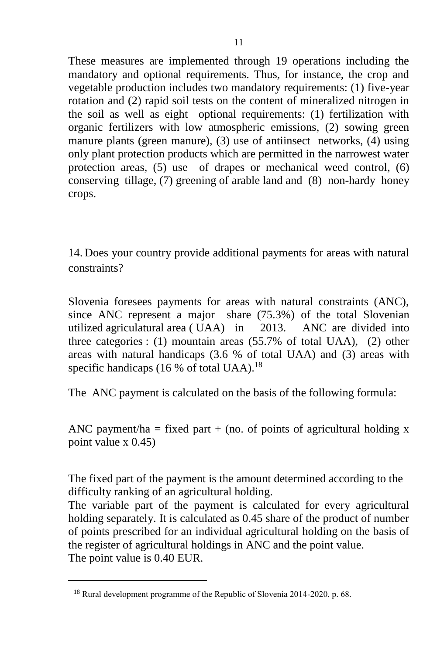These measures are implemented through 19 operations including the mandatory and optional requirements. Thus, for instance, the crop and vegetable production includes two mandatory requirements: (1) five-year rotation and (2) rapid soil tests on the content of mineralized nitrogen in the soil as well as eight optional requirements: (1) fertilization with organic fertilizers with low atmospheric emissions, (2) sowing green manure plants (green manure), (3) use of antiinsect networks, (4) using only plant protection products which are permitted in the narrowest water protection areas, (5) use of drapes or mechanical weed control, (6) conserving tillage, (7) greening of arable land and (8) non-hardy honey crops.

14. Does your country provide additional payments for areas with natural constraints?

Slovenia foresees payments for areas with natural constraints (ANC), since ANC represent a major share (75.3%) of the total Slovenian utilized agriculatural area ( UAA) in 2013. ANC are divided into three categories : (1) mountain areas (55.7% of total UAA), (2) other areas with natural handicaps (3.6 % of total UAA) and (3) areas with specific handicaps (16 % of total UAA).<sup>18</sup>

The ANC payment is calculated on the basis of the following formula:

ANC payment/ha = fixed part + (no. of points of agricultural holding  $x$ ) point value x 0.45)

The fixed part of the payment is the amount determined according to the difficulty ranking of an agricultural holding.

The variable part of the payment is calculated for every agricultural holding separately. It is calculated as 0.45 share of the product of number of points prescribed for an individual agricultural holding on the basis of the register of agricultural holdings in ANC and the point value. The point value is 0.40 EUR.

<sup>18</sup> Rural development programme of the Republic of Slovenia 2014-2020, p. 68.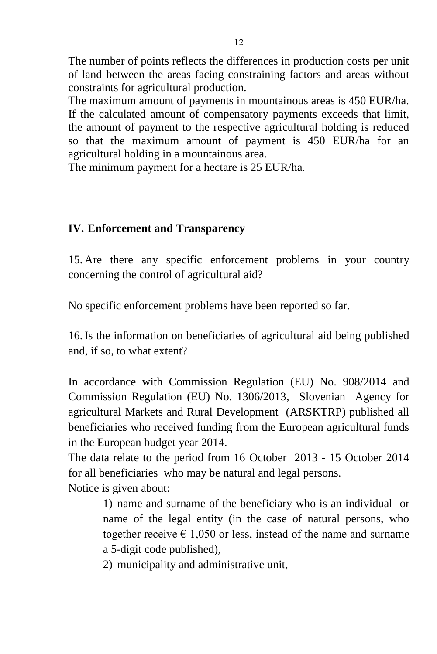The number of points reflects the differences in production costs per unit of land between the areas facing constraining factors and areas without constraints for agricultural production.

The maximum amount of payments in mountainous areas is 450 EUR/ha. If the calculated amount of compensatory payments exceeds that limit, the amount of payment to the respective agricultural holding is reduced so that the maximum amount of payment is 450 EUR/ha for an agricultural holding in a mountainous area.

The minimum payment for a hectare is 25 EUR/ha.

## **IV. Enforcement and Transparency**

15. Are there any specific enforcement problems in your country concerning the control of agricultural aid?

No specific enforcement problems have been reported so far.

16. Is the information on beneficiaries of agricultural aid being published and, if so, to what extent?

In accordance with Commission Regulation (EU) No. 908/2014 and Commission Regulation (EU) No. 1306/2013, Slovenian Agency for agricultural Markets and Rural Development (ARSKTRP) published all beneficiaries who received funding from the European agricultural funds in the European budget year 2014.

The data relate to the period from 16 October 2013 - 15 October 2014 for all beneficiaries who may be natural and legal persons. Notice is given about:

> 1) name and surname of the beneficiary who is an individual or name of the legal entity (in the case of natural persons, who together receive  $\epsilon$  1,050 or less, instead of the name and surname a 5-digit code published),

2) municipality and administrative unit,